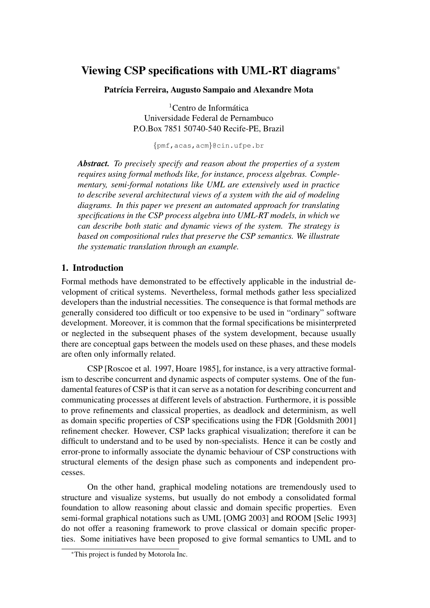# Viewing CSP specifications with UML-RT diagrams<sup>∗</sup>

Patrícia Ferreira, Augusto Sampaio and Alexandre Mota

 ${}^{1}$ Centro de Informática Universidade Federal de Pernambuco P.O.Box 7851 50740-540 Recife-PE, Brazil

{pmf,acas,acm}@cin.ufpe.br

*Abstract. To precisely specify and reason about the properties of a system requires using formal methods like, for instance, process algebras. Complementary, semi-formal notations like UML are extensively used in practice to describe several architectural views of a system with the aid of modeling diagrams. In this paper we present an automated approach for translating specifications in the CSP process algebra into UML-RT models, in which we can describe both static and dynamic views of the system. The strategy is based on compositional rules that preserve the CSP semantics. We illustrate the systematic translation through an example.*

## 1. Introduction

Formal methods have demonstrated to be effectively applicable in the industrial development of critical systems. Nevertheless, formal methods gather less specialized developers than the industrial necessities. The consequence is that formal methods are generally considered too difficult or too expensive to be used in "ordinary" software development. Moreover, it is common that the formal specifications be misinterpreted or neglected in the subsequent phases of the system development, because usually there are conceptual gaps between the models used on these phases, and these models are often only informally related.

CSP [Roscoe et al. 1997, Hoare 1985], for instance, is a very attractive formalism to describe concurrent and dynamic aspects of computer systems. One of the fundamental features of CSP is that it can serve as a notation for describing concurrent and communicating processes at different levels of abstraction. Furthermore, it is possible to prove refinements and classical properties, as deadlock and determinism, as well as domain specific properties of CSP specifications using the FDR [Goldsmith 2001] refinement checker. However, CSP lacks graphical visualization; therefore it can be difficult to understand and to be used by non-specialists. Hence it can be costly and error-prone to informally associate the dynamic behaviour of CSP constructions with structural elements of the design phase such as components and independent processes.

On the other hand, graphical modeling notations are tremendously used to structure and visualize systems, but usually do not embody a consolidated formal foundation to allow reasoning about classic and domain specific properties. Even semi-formal graphical notations such as UML [OMG 2003] and ROOM [Selic 1993] do not offer a reasoning framework to prove classical or domain specific properties. Some initiatives have been proposed to give formal semantics to UML and to

<sup>∗</sup>This project is funded by Motorola Inc.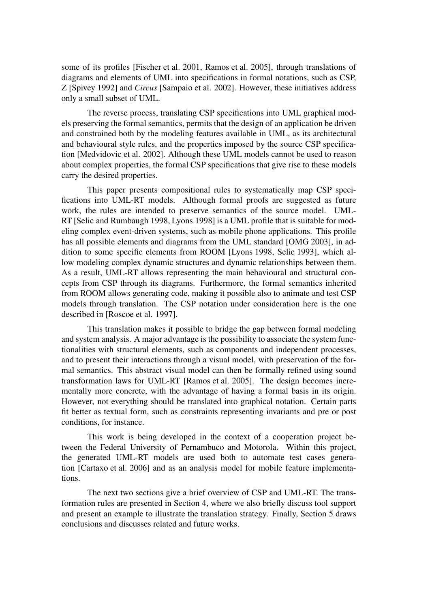some of its profiles [Fischer et al. 2001, Ramos et al. 2005], through translations of diagrams and elements of UML into specifications in formal notations, such as CSP, Z [Spivey 1992] and *Circus* [Sampaio et al. 2002]. However, these initiatives address only a small subset of UML.

The reverse process, translating CSP specifications into UML graphical models preserving the formal semantics, permits that the design of an application be driven and constrained both by the modeling features available in UML, as its architectural and behavioural style rules, and the properties imposed by the source CSP specification [Medvidovic et al. 2002]. Although these UML models cannot be used to reason about complex properties, the formal CSP specifications that give rise to these models carry the desired properties.

This paper presents compositional rules to systematically map CSP specifications into UML-RT models. Although formal proofs are suggested as future work, the rules are intended to preserve semantics of the source model. UML-RT [Selic and Rumbaugh 1998, Lyons 1998] is a UML profile that is suitable for modeling complex event-driven systems, such as mobile phone applications. This profile has all possible elements and diagrams from the UML standard [OMG 2003], in addition to some specific elements from ROOM [Lyons 1998, Selic 1993], which allow modeling complex dynamic structures and dynamic relationships between them. As a result, UML-RT allows representing the main behavioural and structural concepts from CSP through its diagrams. Furthermore, the formal semantics inherited from ROOM allows generating code, making it possible also to animate and test CSP models through translation. The CSP notation under consideration here is the one described in [Roscoe et al. 1997].

This translation makes it possible to bridge the gap between formal modeling and system analysis. A major advantage is the possibility to associate the system functionalities with structural elements, such as components and independent processes, and to present their interactions through a visual model, with preservation of the formal semantics. This abstract visual model can then be formally refined using sound transformation laws for UML-RT [Ramos et al. 2005]. The design becomes incrementally more concrete, with the advantage of having a formal basis in its origin. However, not everything should be translated into graphical notation. Certain parts fit better as textual form, such as constraints representing invariants and pre or post conditions, for instance.

This work is being developed in the context of a cooperation project between the Federal University of Pernambuco and Motorola. Within this project, the generated UML-RT models are used both to automate test cases generation [Cartaxo et al. 2006] and as an analysis model for mobile feature implementations.

The next two sections give a brief overview of CSP and UML-RT. The transformation rules are presented in Section 4, where we also briefly discuss tool support and present an example to illustrate the translation strategy. Finally, Section 5 draws conclusions and discusses related and future works.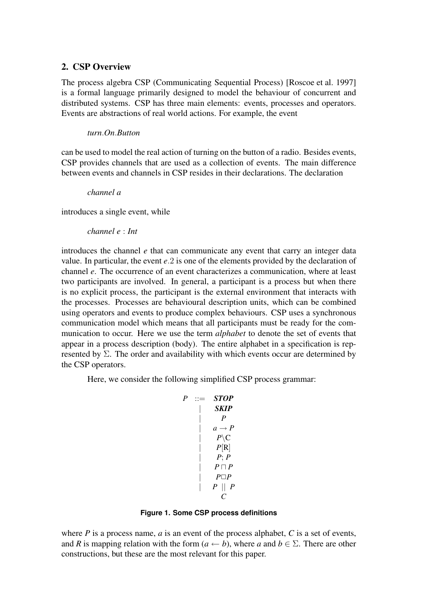#### 2. CSP Overview

The process algebra CSP (Communicating Sequential Process) [Roscoe et al. 1997] is a formal language primarily designed to model the behaviour of concurrent and distributed systems. CSP has three main elements: events, processes and operators. Events are abstractions of real world actions. For example, the event

#### *turn*.*On*.*Button*

can be used to model the real action of turning on the button of a radio. Besides events, CSP provides channels that are used as a collection of events. The main difference between events and channels in CSP resides in their declarations. The declaration

*channel a*

introduces a single event, while

*channel e* : *Int*

introduces the channel *e* that can communicate any event that carry an integer data value. In particular, the event *e*.2 is one of the elements provided by the declaration of channel *e*. The occurrence of an event characterizes a communication, where at least two participants are involved. In general, a participant is a process but when there is no explicit process, the participant is the external environment that interacts with the processes. Processes are behavioural description units, which can be combined using operators and events to produce complex behaviours. CSP uses a synchronous communication model which means that all participants must be ready for the communication to occur. Here we use the term *alphabet* to denote the set of events that appear in a process description (body). The entire alphabet in a specification is represented by  $\Sigma$ . The order and availability with which events occur are determined by the CSP operators.

Here, we consider the following simplified CSP process grammar:

$$
P \quad ::= \quad \text{STOP} \\
| \quad \text{SKIP} \\
| \quad P \\
| \quad a \rightarrow P \\
| \quad P \backslash C \\
| \quad P \backslash P \\
| \quad P \cap P \\
| \quad P \cap P \\
| \quad P \cap P \\
| \quad P \cap P \\
| \quad P \cap P \\
| \quad P \cap P \\
| \quad P \cap P \\
| \quad P \cap P \\
| \quad P \cap P \\
| \quad P \cap P \\
| \quad P \cap P \\
| \quad P \cap P \\
| \quad P \cap P \\
| \quad P \cap P \\
| \quad P \cap P \\
| \quad P \cap P \\
| \quad P \cap P \\
| \quad P \cap P \\
| \quad P \cap P \\
| \quad P \cap P \\
| \quad P \cap P \\
| \quad P \cap P \\
| \quad P \cap P \\
| \quad P \cap P \\
| \quad P \cap P \\
| \quad P \cap P \\
| \quad P \cap P \\
| \quad P \cap P \\
| \quad P \cap P \\
| \quad P \cap P \\
| \quad P \cap P \\
| \quad P \cap P \\
| \quad P \cap P \\
| \quad P \cap P \\
| \quad P \cap P \\
| \quad P \cap P \\
| \quad P \cap P \\
| \quad P \cap P \\
| \quad P \cap P \\
| \quad P \cap P \\
| \quad P \cap P \\
| \quad P \cap P \\
| \quad P \cap P \\
| \quad P \cap P \\
| \quad P \cap P \\
| \quad P \cap P \\
| \quad P \cap P \\
| \quad P \cap P \\
| \quad P \cap P \\
| \quad P \cap P \\
| \quad P \cap P \\
| \quad P \cap P \\
| \quad P \cap P \\
| \quad P \cap P \\
| \quad P \cap P \\
| \quad P \cap P \\
| \quad P \cap P \\
| \quad P \cap P \\
| \quad P \cap P \\
| \quad P \cap P \\
| \quad P \cap P \\
| \quad P \cap P \\
| \quad P \cap P \\
| \quad P \cap P \\
| \quad P \cap P \\
| \quad P \cap P \\
| \quad P \cap P \\
| \quad P \cap P \\
| \quad P \cap P \\
| \quad P \cap P \\
| \quad P \cap P \\
| \quad P \cap P \\
| \quad P \cap P \\
| \quad P \cap P \\
| \quad P \cap P \\
| \quad P \cap P \\
| \quad P \cap P \\
| \quad P \cap P \\
| \quad P \cap P \\
| \quad P \cap P \\
| \quad P \cap P \\
| \quad P \cap P \\
| \quad P \cap P \\
| \quad P \cap P \\
| \quad P \cap P \\
| \quad P \cap P \\
| \quad P \cap P \\
| \quad P \cap P \\
| \
$$

**Figure 1. Some CSP process definitions**

where  $P$  is a process name,  $a$  is an event of the process alphabet,  $C$  is a set of events, and *R* is mapping relation with the form  $(a \leftarrow b)$ , where *a* and  $b \in \Sigma$ . There are other constructions, but these are the most relevant for this paper.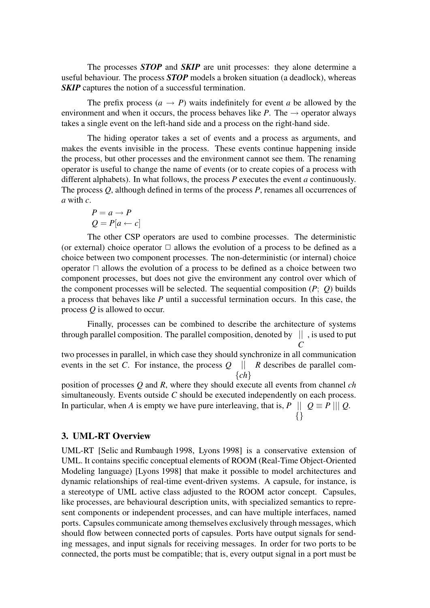The processes *STOP* and *SKIP* are unit processes: they alone determine a useful behaviour. The process *STOP* models a broken situation (a deadlock), whereas *SKIP* captures the notion of a successful termination.

The prefix process  $(a \rightarrow P)$  waits indefinitely for event *a* be allowed by the environment and when it occurs, the process behaves like  $P$ . The  $\rightarrow$  operator always takes a single event on the left-hand side and a process on the right-hand side.

The hiding operator takes a set of events and a process as arguments, and makes the events invisible in the process. These events continue happening inside the process, but other processes and the environment cannot see them. The renaming operator is useful to change the name of events (or to create copies of a process with different alphabets). In what follows, the process *P* executes the event *a* continuously. The process *Q*, although defined in terms of the process *P*, renames all occurrences of *a* with *c*.

$$
P = a \rightarrow P
$$
  

$$
Q = P[a \leftarrow c]
$$

The other CSP operators are used to combine processes. The deterministic (or external) choice operator  $\Box$  allows the evolution of a process to be defined as a choice between two component processes. The non-deterministic (or internal) choice operator  $\Box$  allows the evolution of a process to be defined as a choice between two component processes, but does not give the environment any control over which of the component processes will be selected. The sequential composition (*P*; *Q*) builds a process that behaves like *P* until a successful termination occurs. In this case, the process *Q* is allowed to occur.

Finally, processes can be combined to describe the architecture of systems through parallel composition. The parallel composition, denoted by  $\|\cdot\|$  , is used to put  $\overline{C}$ two processes in parallel, in which case they should synchronize in all communication events in the set *C*. For instance, the process  $Q \parallel R$  describes de parallel com-{*ch*}

position of processes *Q* and *R*, where they should execute all events from channel *ch* simultaneously. Events outside *C* should be executed independently on each process. In particular, when *A* is empty we have pure interleaving, that is,  $P \parallel Q \equiv P \parallel Q$ . {}

#### 3. UML-RT Overview

UML-RT [Selic and Rumbaugh 1998, Lyons 1998] is a conservative extension of UML. It contains specific conceptual elements of ROOM (Real-Time Object-Oriented Modeling language) [Lyons 1998] that make it possible to model architectures and dynamic relationships of real-time event-driven systems. A capsule, for instance, is a stereotype of UML active class adjusted to the ROOM actor concept. Capsules, like processes, are behavioural description units, with specialized semantics to represent components or independent processes, and can have multiple interfaces, named ports. Capsules communicate among themselves exclusively through messages, which should flow between connected ports of capsules. Ports have output signals for sending messages, and input signals for receiving messages. In order for two ports to be connected, the ports must be compatible; that is, every output signal in a port must be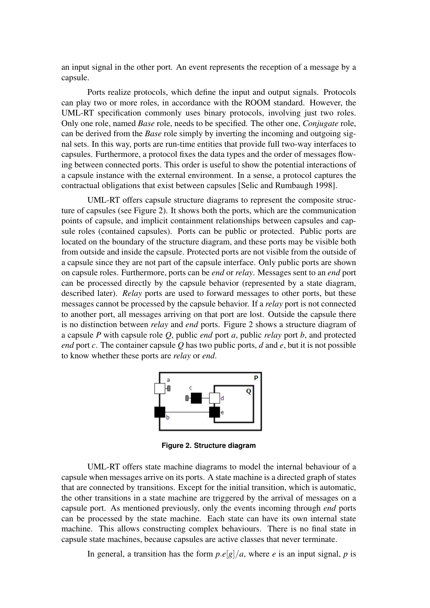an input signal in the other port. An event represents the reception of a message by a capsule.

Ports realize protocols, which define the input and output signals. Protocols can play two or more roles, in accordance with the ROOM standard. However, the UML-RT specification commonly uses binary protocols, involving just two roles. Only one role, named *Base* role, needs to be specified. The other one, *Conjugate* role, can be derived from the *Base* role simply by inverting the incoming and outgoing signal sets. In this way, ports are run-time entities that provide full two-way interfaces to capsules. Furthermore, a protocol fixes the data types and the order of messages flowing between connected ports. This order is useful to show the potential interactions of a capsule instance with the external environment. In a sense, a protocol captures the contractual obligations that exist between capsules [Selic and Rumbaugh 1998].

UML-RT offers capsule structure diagrams to represent the composite structure of capsules (see Figure 2). It shows both the ports, which are the communication points of capsule, and implicit containment relationships between capsules and capsule roles (contained capsules). Ports can be public or protected. Public ports are located on the boundary of the structure diagram, and these ports may be visible both from outside and inside the capsule. Protected ports are not visible from the outside of a capsule since they are not part of the capsule interface. Only public ports are shown on capsule roles. Furthermore, ports can be *end* or *relay*. Messages sent to an *end* port can be processed directly by the capsule behavior (represented by a state diagram, described later). *Relay* ports are used to forward messages to other ports, but these messages cannot be processed by the capsule behavior. If a *relay* port is not connected to another port, all messages arriving on that port are lost. Outside the capsule there is no distinction between *relay* and *end* ports. Figure 2 shows a structure diagram of a capsule *P* with capsule role *Q*, public *end* port *a*, public *relay* port *b*, and protected *end* port *c*. The container capsule *Q* has two public ports, *d* and *e*, but it is not possible to know whether these ports are *relay* or *end*.



**Figure 2. Structure diagram**

UML-RT offers state machine diagrams to model the internal behaviour of a capsule when messages arrive on its ports. A state machine is a directed graph of states that are connected by transitions. Except for the initial transition, which is automatic, the other transitions in a state machine are triggered by the arrival of messages on a capsule port. As mentioned previously, only the events incoming through *end* ports can be processed by the state machine. Each state can have its own internal state machine. This allows constructing complex behaviours. There is no final state in capsule state machines, because capsules are active classes that never terminate.

In general, a transition has the form  $p.e[g]/a$ , where *e* is an input signal, *p* is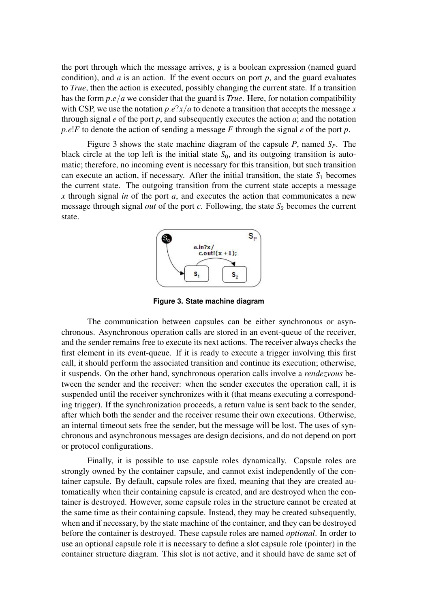the port through which the message arrives, *g* is a boolean expression (named guard condition), and  $\alpha$  is an action. If the event occurs on port  $p$ , and the guard evaluates to *True*, then the action is executed, possibly changing the current state. If a transition has the form *p*.*e*/*a* we consider that the guard is *True*. Here, for notation compatibility with CSP, we use the notation  $p.e?x/a$  to denote a transition that accepts the message *x* through signal *e* of the port *p*, and subsequently executes the action *a*; and the notation *p*.*e*!*F* to denote the action of sending a message *F* through the signal *e* of the port *p*.

Figure 3 shows the state machine diagram of the capsule  $P$ , named  $S_P$ . The black circle at the top left is the initial state  $S_0$ , and its outgoing transition is automatic; therefore, no incoming event is necessary for this transition, but such transition can execute an action, if necessary. After the initial transition, the state  $S_1$  becomes the current state. The outgoing transition from the current state accepts a message *x* through signal *in* of the port *a*, and executes the action that communicates a new message through signal *out* of the port  $c$ . Following, the state  $S_2$  becomes the current state.



**Figure 3. State machine diagram**

The communication between capsules can be either synchronous or asynchronous. Asynchronous operation calls are stored in an event-queue of the receiver, and the sender remains free to execute its next actions. The receiver always checks the first element in its event-queue. If it is ready to execute a trigger involving this first call, it should perform the associated transition and continue its execution; otherwise, it suspends. On the other hand, synchronous operation calls involve a *rendezvous* between the sender and the receiver: when the sender executes the operation call, it is suspended until the receiver synchronizes with it (that means executing a corresponding trigger). If the synchronization proceeds, a return value is sent back to the sender, after which both the sender and the receiver resume their own executions. Otherwise, an internal timeout sets free the sender, but the message will be lost. The uses of synchronous and asynchronous messages are design decisions, and do not depend on port or protocol configurations.

Finally, it is possible to use capsule roles dynamically. Capsule roles are strongly owned by the container capsule, and cannot exist independently of the container capsule. By default, capsule roles are fixed, meaning that they are created automatically when their containing capsule is created, and are destroyed when the container is destroyed. However, some capsule roles in the structure cannot be created at the same time as their containing capsule. Instead, they may be created subsequently, when and if necessary, by the state machine of the container, and they can be destroyed before the container is destroyed. These capsule roles are named *optional*. In order to use an optional capsule role it is necessary to define a slot capsule role (pointer) in the container structure diagram. This slot is not active, and it should have de same set of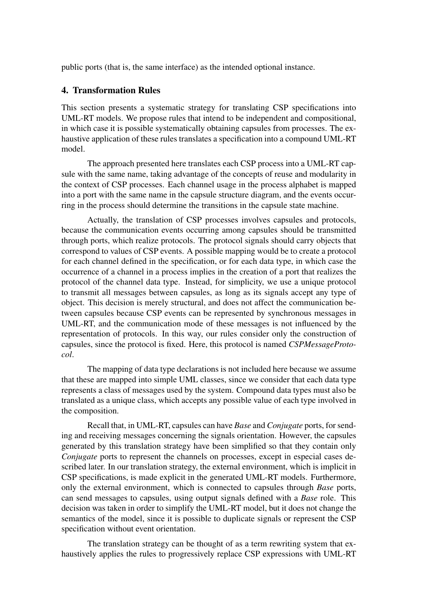public ports (that is, the same interface) as the intended optional instance.

#### 4. Transformation Rules

This section presents a systematic strategy for translating CSP specifications into UML-RT models. We propose rules that intend to be independent and compositional, in which case it is possible systematically obtaining capsules from processes. The exhaustive application of these rules translates a specification into a compound UML-RT model.

The approach presented here translates each CSP process into a UML-RT capsule with the same name, taking advantage of the concepts of reuse and modularity in the context of CSP processes. Each channel usage in the process alphabet is mapped into a port with the same name in the capsule structure diagram, and the events occurring in the process should determine the transitions in the capsule state machine.

Actually, the translation of CSP processes involves capsules and protocols, because the communication events occurring among capsules should be transmitted through ports, which realize protocols. The protocol signals should carry objects that correspond to values of CSP events. A possible mapping would be to create a protocol for each channel defined in the specification, or for each data type, in which case the occurrence of a channel in a process implies in the creation of a port that realizes the protocol of the channel data type. Instead, for simplicity, we use a unique protocol to transmit all messages between capsules, as long as its signals accept any type of object. This decision is merely structural, and does not affect the communication between capsules because CSP events can be represented by synchronous messages in UML-RT, and the communication mode of these messages is not influenced by the representation of protocols. In this way, our rules consider only the construction of capsules, since the protocol is fixed. Here, this protocol is named *CSPMessageProtocol*.

The mapping of data type declarations is not included here because we assume that these are mapped into simple UML classes, since we consider that each data type represents a class of messages used by the system. Compound data types must also be translated as a unique class, which accepts any possible value of each type involved in the composition.

Recall that, in UML-RT, capsules can have *Base* and *Conjugate* ports, for sending and receiving messages concerning the signals orientation. However, the capsules generated by this translation strategy have been simplified so that they contain only *Conjugate* ports to represent the channels on processes, except in especial cases described later. In our translation strategy, the external environment, which is implicit in CSP specifications, is made explicit in the generated UML-RT models. Furthermore, only the external environment, which is connected to capsules through *Base* ports, can send messages to capsules, using output signals defined with a *Base* role. This decision was taken in order to simplify the UML-RT model, but it does not change the semantics of the model, since it is possible to duplicate signals or represent the CSP specification without event orientation.

The translation strategy can be thought of as a term rewriting system that exhaustively applies the rules to progressively replace CSP expressions with UML-RT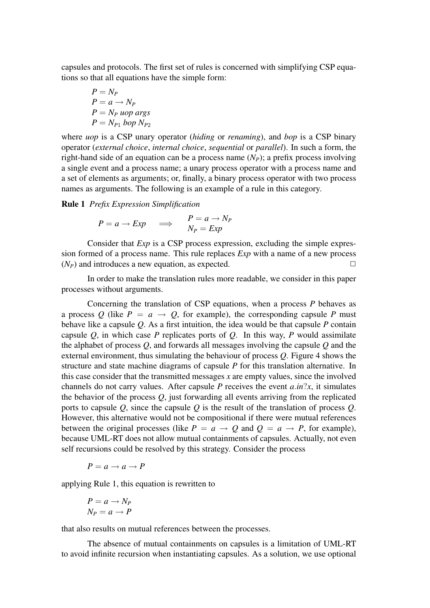capsules and protocols. The first set of rules is concerned with simplifying CSP equations so that all equations have the simple form:

$$
P = N_P
$$
  
\n
$$
P = a \rightarrow N_P
$$
  
\n
$$
P = N_P \text{ uop args}
$$
  
\n
$$
P = N_{P1} \text{ bop } N_{P2}
$$

where *uop* is a CSP unary operator (*hiding* or *renaming*), and *bop* is a CSP binary operator (*external choice*, *internal choice*, *sequential* or *parallel*). In such a form, the right-hand side of an equation can be a process name  $(N_P)$ ; a prefix process involving a single event and a process name; a unary process operator with a process name and a set of elements as arguments; or, finally, a binary process operator with two process names as arguments. The following is an example of a rule in this category.

#### Rule 1 *Prefix Expression Simplification*

$$
P = a \rightarrow Exp \qquad \Longrightarrow \qquad \begin{array}{c} P = a \rightarrow N_P \\ N_P = Exp \end{array}
$$

Consider that *Exp* is a CSP process expression, excluding the simple expression formed of a process name. This rule replaces *Exp* with a name of a new process  $(N_P)$  and introduces a new equation, as expected.  $\square$ 

In order to make the translation rules more readable, we consider in this paper processes without arguments.

Concerning the translation of CSP equations, when a process *P* behaves as a process *Q* (like  $P = a \rightarrow Q$ , for example), the corresponding capsule *P* must behave like a capsule *Q*. As a first intuition, the idea would be that capsule *P* contain capsule *Q*, in which case *P* replicates ports of *Q*. In this way, *P* would assimilate the alphabet of process *Q*, and forwards all messages involving the capsule *Q* and the external environment, thus simulating the behaviour of process *Q*. Figure 4 shows the structure and state machine diagrams of capsule *P* for this translation alternative. In this case consider that the transmitted messages *x* are empty values, since the involved channels do not carry values. After capsule *P* receives the event  $a.in?x$ , it simulates the behavior of the process *Q*, just forwarding all events arriving from the replicated ports to capsule *Q*, since the capsule *Q* is the result of the translation of process *Q*. However, this alternative would not be compositional if there were mutual references between the original processes (like  $P = a \rightarrow Q$  and  $Q = a \rightarrow P$ , for example), because UML-RT does not allow mutual containments of capsules. Actually, not even self recursions could be resolved by this strategy. Consider the process

$$
P=a\rightarrow a\rightarrow P
$$

applying Rule 1, this equation is rewritten to

$$
P = a \rightarrow N_P
$$
  

$$
N_P = a \rightarrow P
$$

that also results on mutual references between the processes.

The absence of mutual containments on capsules is a limitation of UML-RT to avoid infinite recursion when instantiating capsules. As a solution, we use optional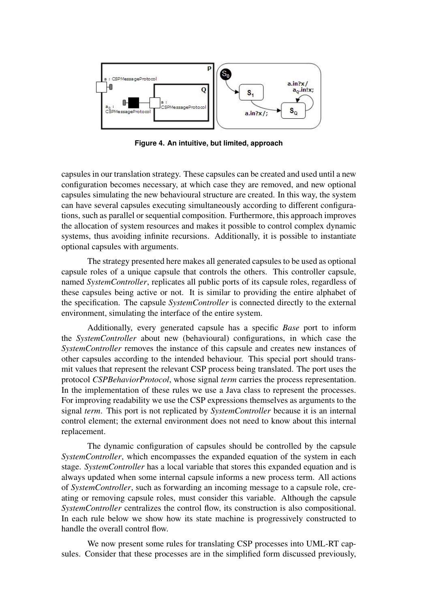

**Figure 4. An intuitive, but limited, approach**

capsules in our translation strategy. These capsules can be created and used until a new configuration becomes necessary, at which case they are removed, and new optional capsules simulating the new behavioural structure are created. In this way, the system can have several capsules executing simultaneously according to different configurations, such as parallel or sequential composition. Furthermore, this approach improves the allocation of system resources and makes it possible to control complex dynamic systems, thus avoiding infinite recursions. Additionally, it is possible to instantiate optional capsules with arguments.

The strategy presented here makes all generated capsules to be used as optional capsule roles of a unique capsule that controls the others. This controller capsule, named *SystemController*, replicates all public ports of its capsule roles, regardless of these capsules being active or not. It is similar to providing the entire alphabet of the specification. The capsule *SystemController* is connected directly to the external environment, simulating the interface of the entire system.

Additionally, every generated capsule has a specific *Base* port to inform the *SystemController* about new (behavioural) configurations, in which case the *SystemController* removes the instance of this capsule and creates new instances of other capsules according to the intended behaviour. This special port should transmit values that represent the relevant CSP process being translated. The port uses the protocol *CSPBehaviorProtocol*, whose signal *term* carries the process representation. In the implementation of these rules we use a Java class to represent the processes. For improving readability we use the CSP expressions themselves as arguments to the signal *term*. This port is not replicated by *SystemController* because it is an internal control element; the external environment does not need to know about this internal replacement.

The dynamic configuration of capsules should be controlled by the capsule *SystemController*, which encompasses the expanded equation of the system in each stage. *SystemController* has a local variable that stores this expanded equation and is always updated when some internal capsule informs a new process term. All actions of *SystemController*, such as forwarding an incoming message to a capsule role, creating or removing capsule roles, must consider this variable. Although the capsule *SystemController* centralizes the control flow, its construction is also compositional. In each rule below we show how its state machine is progressively constructed to handle the overall control flow.

We now present some rules for translating CSP processes into UML-RT capsules. Consider that these processes are in the simplified form discussed previously,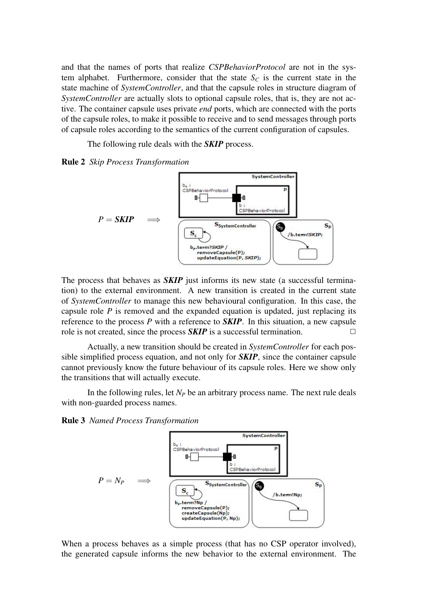and that the names of ports that realize *CSPBehaviorProtocol* are not in the system alphabet. Furthermore, consider that the state  $S_C$  is the current state in the state machine of *SystemController*, and that the capsule roles in structure diagram of *SystemController* are actually slots to optional capsule roles, that is, they are not active. The container capsule uses private *end* ports, which are connected with the ports of the capsule roles, to make it possible to receive and to send messages through ports of capsule roles according to the semantics of the current configuration of capsules.

The following rule deals with the *SKIP* process.





The process that behaves as *SKIP* just informs its new state (a successful termination) to the external environment. A new transition is created in the current state of *SystemController* to manage this new behavioural configuration. In this case, the capsule role *P* is removed and the expanded equation is updated, just replacing its reference to the process *P* with a reference to *SKIP*. In this situation, a new capsule role is not created, since the process *SKIP* is a successful termination.

Actually, a new transition should be created in *SystemController* for each possible simplified process equation, and not only for *SKIP*, since the container capsule cannot previously know the future behaviour of its capsule roles. Here we show only the transitions that will actually execute.

In the following rules, let  $N_P$  be an arbitrary process name. The next rule deals with non-guarded process names.





When a process behaves as a simple process (that has no CSP operator involved), the generated capsule informs the new behavior to the external environment. The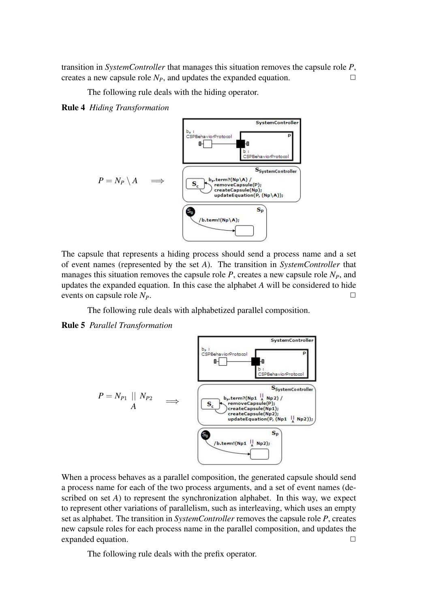transition in *SystemController* that manages this situation removes the capsule role *P*, creates a new capsule role  $N_p$ , and updates the expanded equation.  $\Box$ 

The following rule deals with the hiding operator.

Rule 4 *Hiding Transformation*



The capsule that represents a hiding process should send a process name and a set of event names (represented by the set *A*). The transition in *SystemController* that manages this situation removes the capsule role *P*, creates a new capsule role *NP*, and updates the expanded equation. In this case the alphabet *A* will be considered to hide events on capsule role  $N_p$ .

The following rule deals with alphabetized parallel composition.

Rule 5 *Parallel Transformation*



When a process behaves as a parallel composition, the generated capsule should send a process name for each of the two process arguments, and a set of event names (described on set *A*) to represent the synchronization alphabet. In this way, we expect to represent other variations of parallelism, such as interleaving, which uses an empty set as alphabet. The transition in *SystemController* removes the capsule role *P*, creates new capsule roles for each process name in the parallel composition, and updates the expanded equation.

The following rule deals with the prefix operator.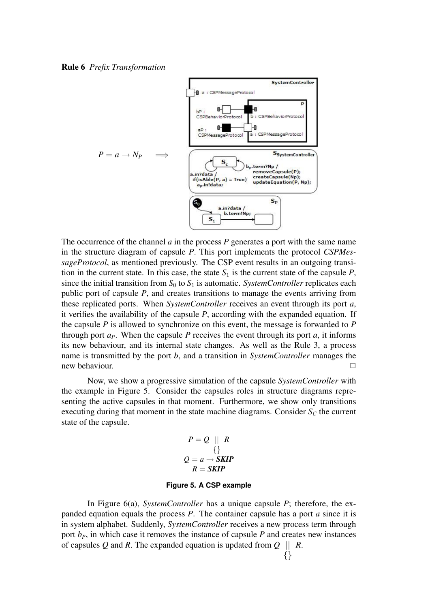

The occurrence of the channel *a* in the process *P* generates a port with the same name in the structure diagram of capsule *P*. This port implements the protocol *CSPMessageProtocol*, as mentioned previously. The CSP event results in an outgoing transition in the current state. In this case, the state  $S_1$  is the current state of the capsule  $P$ , since the initial transition from  $S_0$  to  $S_1$  is automatic. *SystemController* replicates each public port of capsule *P*, and creates transitions to manage the events arriving from these replicated ports. When *SystemController* receives an event through its port *a*, it verifies the availability of the capsule *P*, according with the expanded equation. If the capsule *P* is allowed to synchronize on this event, the message is forwarded to *P* through port  $a_P$ . When the capsule P receives the event through its port  $a$ , it informs its new behaviour, and its internal state changes. As well as the Rule 3, a process name is transmitted by the port *b*, and a transition in *SystemController* manages the new behaviour.

Now, we show a progressive simulation of the capsule *SystemController* with the example in Figure 5. Consider the capsules roles in structure diagrams representing the active capsules in that moment. Furthermore, we show only transitions executing during that moment in the state machine diagrams. Consider  $S_C$  the current state of the capsule.

$$
P = Q \parallel R
$$
  

$$
Q = a \rightarrow \text{SKIP}
$$
  

$$
R = \text{SKIP}
$$

#### **Figure 5. A CSP example**

In Figure 6(a), *SystemController* has a unique capsule *P*; therefore, the expanded equation equals the process *P*. The container capsule has a port *a* since it is in system alphabet. Suddenly, *SystemController* receives a new process term through port  $b<sub>P</sub>$ , in which case it removes the instance of capsule P and creates new instances of capsules *Q* and *R*. The expanded equation is updated from *Q* || *R*.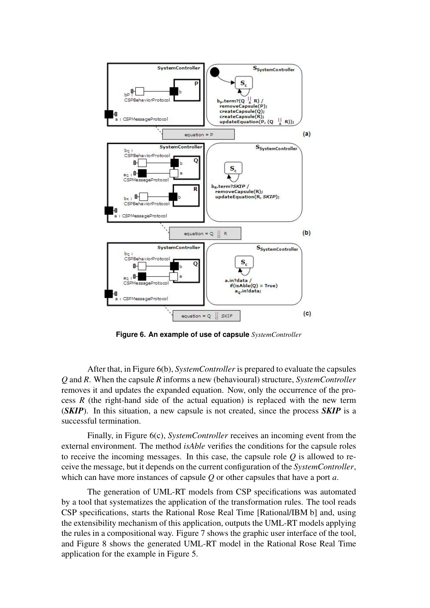

**Figure 6. An example of use of capsule** *SystemController*

After that, in Figure 6(b), *SystemController* is prepared to evaluate the capsules *Q* and *R*. When the capsule *R* informs a new (behavioural) structure, *SystemController* removes it and updates the expanded equation. Now, only the occurrence of the process  $R$  (the right-hand side of the actual equation) is replaced with the new term (*SKIP*). In this situation, a new capsule is not created, since the process *SKIP* is a successful termination.

Finally, in Figure 6(c), *SystemController* receives an incoming event from the external environment. The method *isAble* verifies the conditions for the capsule roles to receive the incoming messages. In this case, the capsule role *Q* is allowed to receive the message, but it depends on the current configuration of the *SystemController*, which can have more instances of capsule *Q* or other capsules that have a port *a*.

The generation of UML-RT models from CSP specifications was automated by a tool that systematizes the application of the transformation rules. The tool reads CSP specifications, starts the Rational Rose Real Time [Rational/IBM b] and, using the extensibility mechanism of this application, outputs the UML-RT models applying the rules in a compositional way. Figure 7 shows the graphic user interface of the tool, and Figure 8 shows the generated UML-RT model in the Rational Rose Real Time application for the example in Figure 5.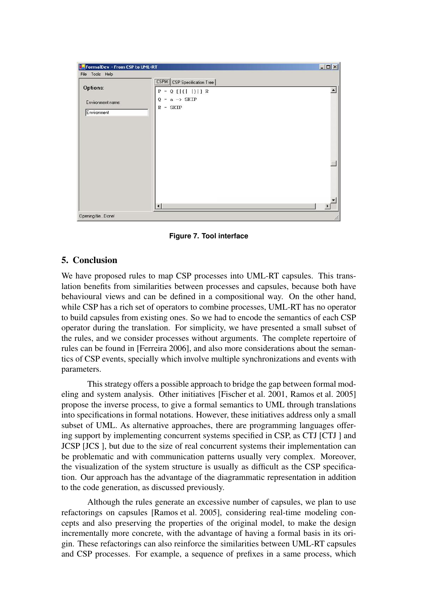| FormalDev - From CSP to UML-RT |                                    | $  X $ |
|--------------------------------|------------------------------------|--------|
| File Tools Help                |                                    |        |
|                                | <b>CSPM</b> CSP Specification Tree |        |
| Options:                       | $P = Q [   {           } ]   R$    |        |
| Environment name:              | $Q = a \rightarrow SKIP$           |        |
|                                | $R = SKIP$                         |        |
| Environment                    |                                    |        |
|                                |                                    |        |
|                                |                                    |        |
|                                |                                    |        |
|                                |                                    |        |
|                                |                                    |        |
|                                |                                    |        |
|                                |                                    |        |
|                                |                                    |        |
|                                |                                    |        |
|                                |                                    |        |
|                                | $\left  \cdot \right $             |        |
| Opening fileDone!              |                                    |        |

**Figure 7. Tool interface**

## 5. Conclusion

We have proposed rules to map CSP processes into UML-RT capsules. This translation benefits from similarities between processes and capsules, because both have behavioural views and can be defined in a compositional way. On the other hand, while CSP has a rich set of operators to combine processes, UML-RT has no operator to build capsules from existing ones. So we had to encode the semantics of each CSP operator during the translation. For simplicity, we have presented a small subset of the rules, and we consider processes without arguments. The complete repertoire of rules can be found in [Ferreira 2006], and also more considerations about the semantics of CSP events, specially which involve multiple synchronizations and events with parameters.

This strategy offers a possible approach to bridge the gap between formal modeling and system analysis. Other initiatives [Fischer et al. 2001, Ramos et al. 2005] propose the inverse process, to give a formal semantics to UML through translations into specifications in formal notations. However, these initiatives address only a small subset of UML. As alternative approaches, there are programming languages offering support by implementing concurrent systems specified in CSP, as CTJ [CTJ ] and JCSP [JCS ], but due to the size of real concurrent systems their implementation can be problematic and with communication patterns usually very complex. Moreover, the visualization of the system structure is usually as difficult as the CSP specification. Our approach has the advantage of the diagrammatic representation in addition to the code generation, as discussed previously.

Although the rules generate an excessive number of capsules, we plan to use refactorings on capsules [Ramos et al. 2005], considering real-time modeling concepts and also preserving the properties of the original model, to make the design incrementally more concrete, with the advantage of having a formal basis in its origin. These refactorings can also reinforce the similarities between UML-RT capsules and CSP processes. For example, a sequence of prefixes in a same process, which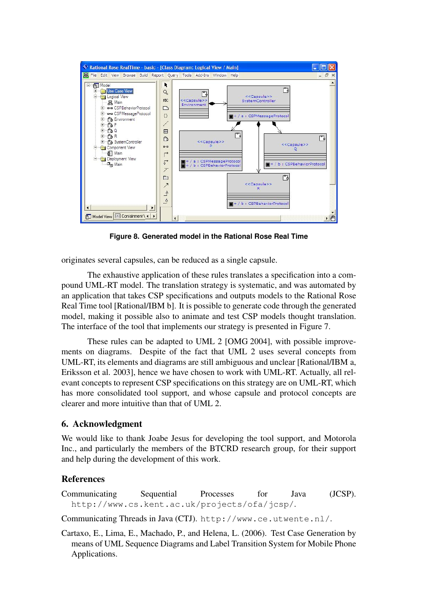

**Figure 8. Generated model in the Rational Rose Real Time**

originates several capsules, can be reduced as a single capsule.

The exhaustive application of these rules translates a specification into a compound UML-RT model. The translation strategy is systematic, and was automated by an application that takes CSP specifications and outputs models to the Rational Rose Real Time tool [Rational/IBM b]. It is possible to generate code through the generated model, making it possible also to animate and test CSP models thought translation. The interface of the tool that implements our strategy is presented in Figure 7.

These rules can be adapted to UML 2 [OMG 2004], with possible improvements on diagrams. Despite of the fact that UML 2 uses several concepts from UML-RT, its elements and diagrams are still ambiguous and unclear [Rational/IBM a, Eriksson et al. 2003], hence we have chosen to work with UML-RT. Actually, all relevant concepts to represent CSP specifications on this strategy are on UML-RT, which has more consolidated tool support, and whose capsule and protocol concepts are clearer and more intuitive than that of UML 2.

### 6. Acknowledgment

We would like to thank Joabe Jesus for developing the tool support, and Motorola Inc., and particularly the members of the BTCRD research group, for their support and help during the development of this work.

## References

Communicating Sequential Processes for Java (JCSP). http://www.cs.kent.ac.uk/projects/ofa/jcsp/.

Communicating Threads in Java (CTJ). http://www.ce.utwente.nl/.

Cartaxo, E., Lima, E., Machado, P., and Helena, L. (2006). Test Case Generation by means of UML Sequence Diagrams and Label Transition System for Mobile Phone Applications.